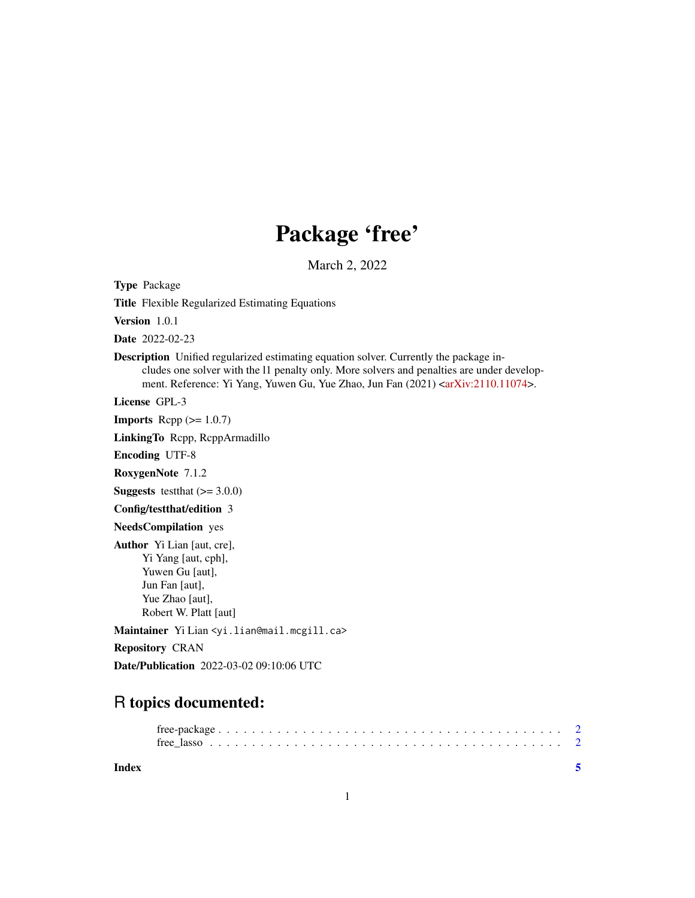## Package 'free'

March 2, 2022

Type Package

Title Flexible Regularized Estimating Equations

Version 1.0.1

Date 2022-02-23

Description Unified regularized estimating equation solver. Currently the package includes one solver with the l1 penalty only. More solvers and penalties are under develop-ment. Reference: Yi Yang, Yuwen Gu, Yue Zhao, Jun Fan (2021) [<arXiv:2110.11074>](https://arxiv.org/abs/2110.11074).

License GPL-3

**Imports** Rcpp  $(>= 1.0.7)$ 

LinkingTo Rcpp, RcppArmadillo

Encoding UTF-8

RoxygenNote 7.1.2

**Suggests** test that  $(>= 3.0.0)$ 

Config/testthat/edition 3

NeedsCompilation yes

Author Yi Lian [aut, cre], Yi Yang [aut, cph], Yuwen Gu [aut], Jun Fan [aut], Yue Zhao [aut], Robert W. Platt [aut]

Maintainer Yi Lian <yi.lian@mail.mcgill.ca>

Repository CRAN

Date/Publication 2022-03-02 09:10:06 UTC

### R topics documented:

**Index** [5](#page-4-0). The second state of the second state of the second state of the second state of the second state of the second state of the second state of the second state of the second state of the second state of the second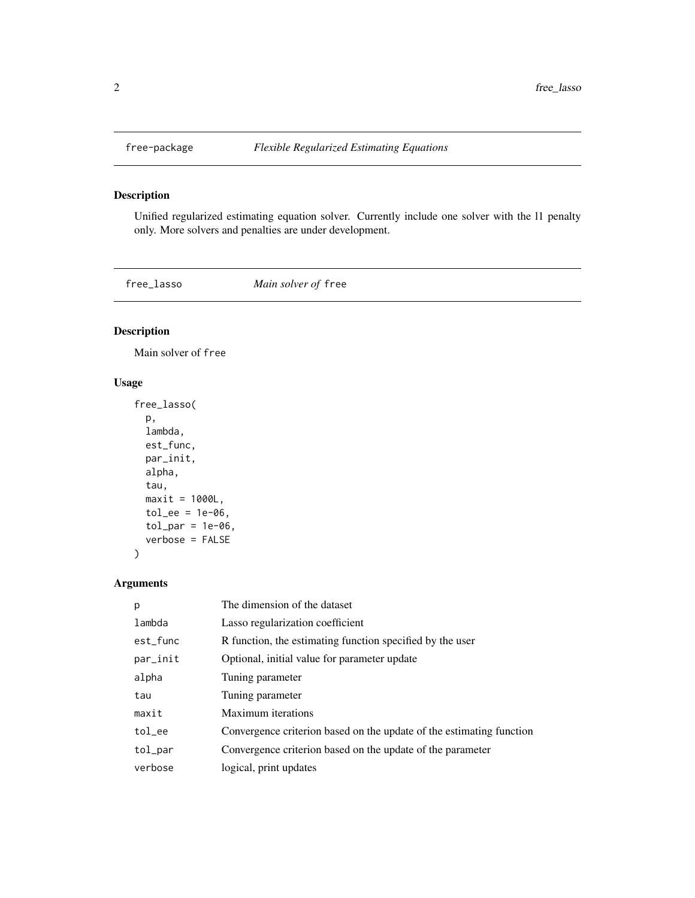<span id="page-1-0"></span>

#### Description

Unified regularized estimating equation solver. Currently include one solver with the l1 penalty only. More solvers and penalties are under development.

free\_lasso *Main solver of* free

#### Description

Main solver of free

#### Usage

```
free_lasso(
 p,
 lambda,
 est_func,
 par_init,
 alpha,
  tau,
 maxit = 1000L,tol_ee = 1e-06,
  tol\_par = 1e-06,
  verbose = FALSE
)
```
#### Arguments

| p        | The dimension of the dataset                                         |
|----------|----------------------------------------------------------------------|
| lambda   | Lasso regularization coefficient                                     |
| est func | R function, the estimating function specified by the user            |
| par_init | Optional, initial value for parameter update                         |
| alpha    | Tuning parameter                                                     |
| tau      | Tuning parameter                                                     |
| maxit    | <b>Maximum</b> iterations                                            |
| tol_ee   | Convergence criterion based on the update of the estimating function |
| tol_par  | Convergence criterion based on the update of the parameter           |
| verbose  | logical, print updates                                               |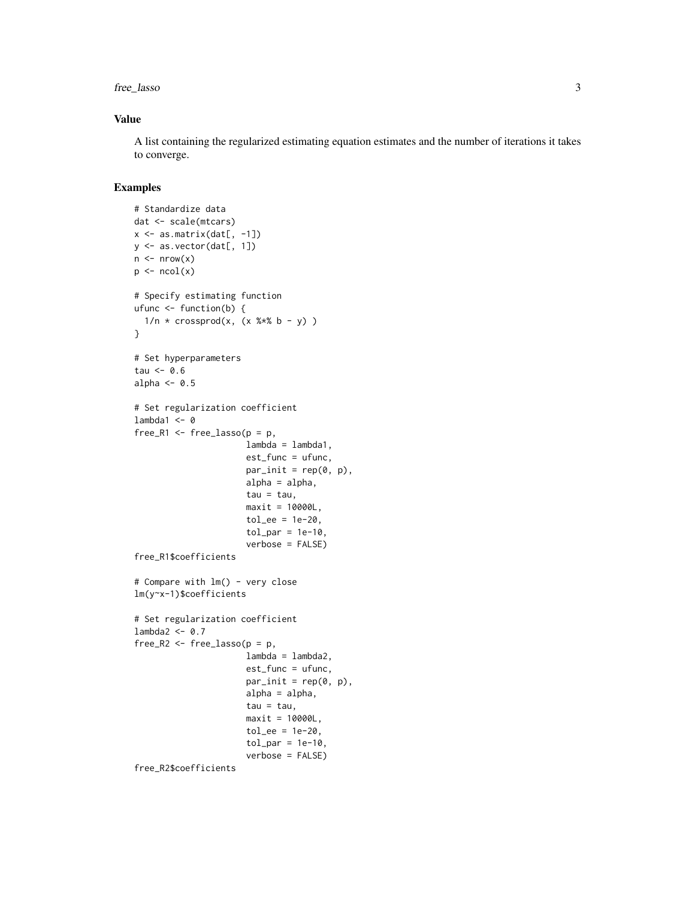free\_lasso 3

#### Value

A list containing the regularized estimating equation estimates and the number of iterations it takes to converge.

#### Examples

```
# Standardize data
dat <- scale(mtcars)
x \leftarrow as.matrix(data[, -1])y \leftarrow as-vector(data[, 1])n \leq -nrow(x)p \leftarrow \text{ncol}(x)# Specify estimating function
ufunc \leq function(b) {
  1/n * crossprod(x, (x %*) b - y) )}
# Set hyperparameters
tau <-0.6alpha <-0.5# Set regularization coefficient
lambda1 < -0free_R1 \leftarrow free\_lasso(p = p,lambda = lambda1,
                       est_func = ufunc,
                       par\_init = rep(0, p),
                       alpha = alpha,
                       tau = tau,maxit = 10000L,
                       tol_ee = 1e-20,tol\_par = 1e-10,
                       verbose = FALSE)
free_R1$coefficients
# Compare with lm() - very close
lm(y~x-1)$coefficients
# Set regularization coefficient
lambda2 < -0.7free_R2 \leq free\_lasso(p = p,lambda = lambda2,
                       est_func = ufunc,
                       par\_init = rep(0, p),
                       alpha = alpha,
                       tau = tau,maxit = 10000L,
                       tol_ee = 1e-20,
                       tol\_par = 1e-10,verbose = FALSE)
free_R2$coefficients
```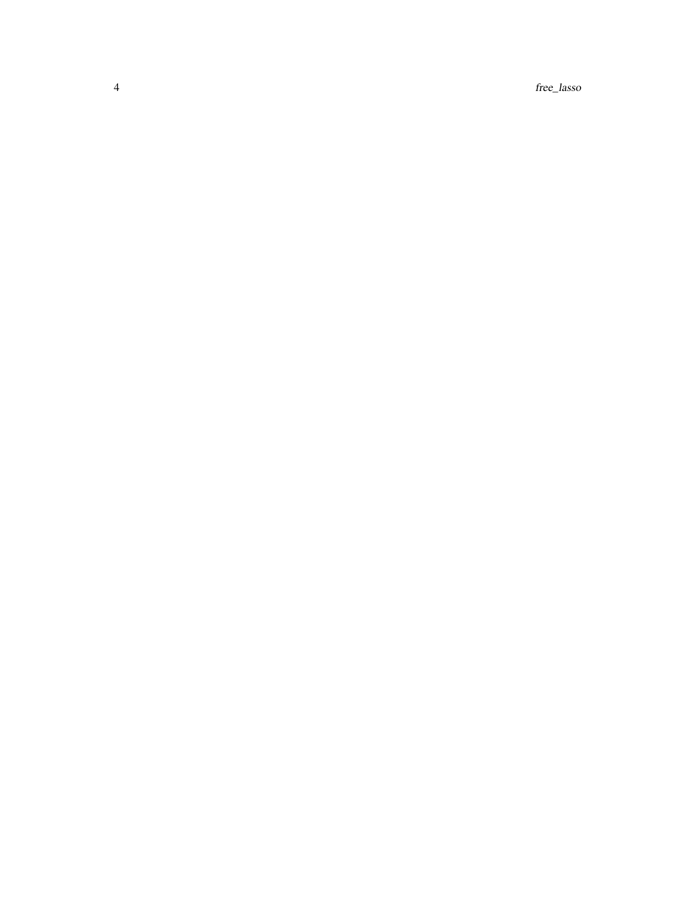free\_lasso

 $\overline{4}$